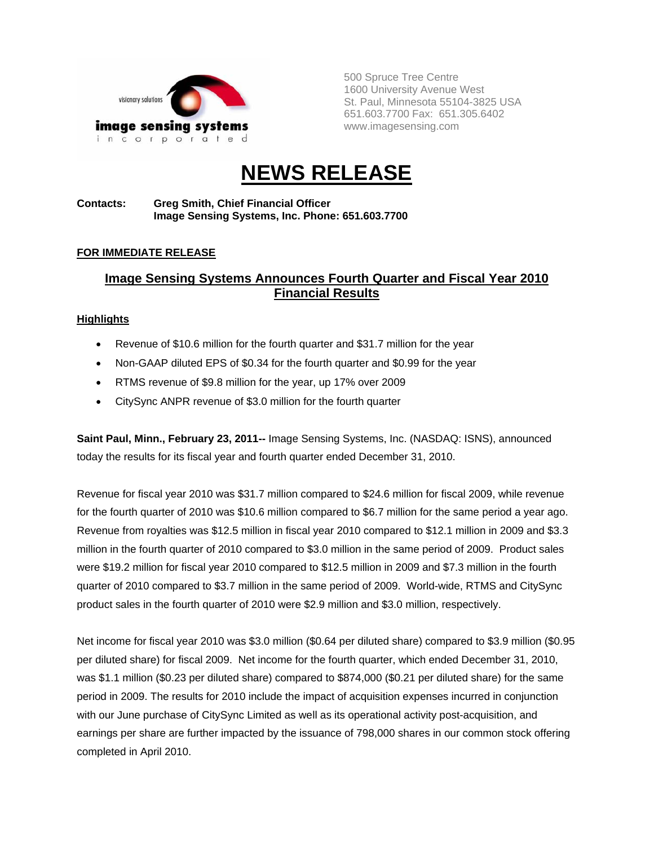

500 Spruce Tree Centre 1600 University Avenue West St. Paul, Minnesota 55104-3825 USA 651.603.7700 Fax: 651.305.6402 www.imagesensing.com

# **NEWS RELEASE**

#### **Contacts: Greg Smith, Chief Financial Officer Image Sensing Systems, Inc. Phone: 651.603.7700**

### **FOR IMMEDIATE RELEASE**

## **Image Sensing Systems Announces Fourth Quarter and Fiscal Year 2010 Financial Results**

#### **Highlights**

- Revenue of \$10.6 million for the fourth quarter and \$31.7 million for the year
- Non-GAAP diluted EPS of \$0.34 for the fourth quarter and \$0.99 for the year
- RTMS revenue of \$9.8 million for the year, up 17% over 2009
- CitySync ANPR revenue of \$3.0 million for the fourth quarter

**Saint Paul, Minn., February 23, 2011--** Image Sensing Systems, Inc. (NASDAQ: ISNS), announced today the results for its fiscal year and fourth quarter ended December 31, 2010.

Revenue for fiscal year 2010 was \$31.7 million compared to \$24.6 million for fiscal 2009, while revenue for the fourth quarter of 2010 was \$10.6 million compared to \$6.7 million for the same period a year ago. Revenue from royalties was \$12.5 million in fiscal year 2010 compared to \$12.1 million in 2009 and \$3.3 million in the fourth quarter of 2010 compared to \$3.0 million in the same period of 2009. Product sales were \$19.2 million for fiscal year 2010 compared to \$12.5 million in 2009 and \$7.3 million in the fourth quarter of 2010 compared to \$3.7 million in the same period of 2009. World-wide, RTMS and CitySync product sales in the fourth quarter of 2010 were \$2.9 million and \$3.0 million, respectively.

Net income for fiscal year 2010 was \$3.0 million (\$0.64 per diluted share) compared to \$3.9 million (\$0.95 per diluted share) for fiscal 2009. Net income for the fourth quarter, which ended December 31, 2010, was \$1.1 million (\$0.23 per diluted share) compared to \$874,000 (\$0.21 per diluted share) for the same period in 2009. The results for 2010 include the impact of acquisition expenses incurred in conjunction with our June purchase of CitySync Limited as well as its operational activity post-acquisition, and earnings per share are further impacted by the issuance of 798,000 shares in our common stock offering completed in April 2010.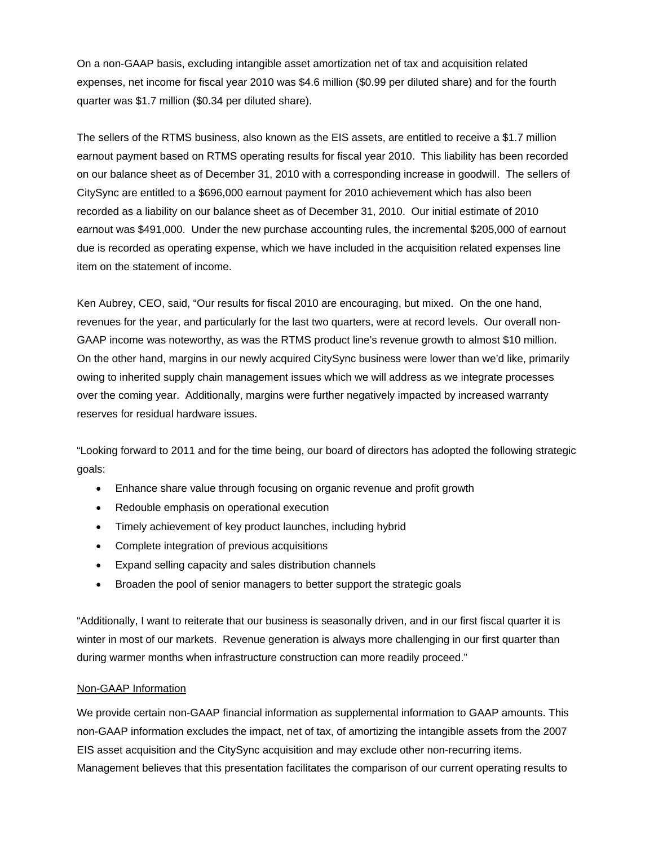On a non-GAAP basis, excluding intangible asset amortization net of tax and acquisition related expenses, net income for fiscal year 2010 was \$4.6 million (\$0.99 per diluted share) and for the fourth quarter was \$1.7 million (\$0.34 per diluted share).

The sellers of the RTMS business, also known as the EIS assets, are entitled to receive a \$1.7 million earnout payment based on RTMS operating results for fiscal year 2010. This liability has been recorded on our balance sheet as of December 31, 2010 with a corresponding increase in goodwill. The sellers of CitySync are entitled to a \$696,000 earnout payment for 2010 achievement which has also been recorded as a liability on our balance sheet as of December 31, 2010. Our initial estimate of 2010 earnout was \$491,000. Under the new purchase accounting rules, the incremental \$205,000 of earnout due is recorded as operating expense, which we have included in the acquisition related expenses line item on the statement of income.

Ken Aubrey, CEO, said, "Our results for fiscal 2010 are encouraging, but mixed. On the one hand, revenues for the year, and particularly for the last two quarters, were at record levels. Our overall non-GAAP income was noteworthy, as was the RTMS product line's revenue growth to almost \$10 million. On the other hand, margins in our newly acquired CitySync business were lower than we'd like, primarily owing to inherited supply chain management issues which we will address as we integrate processes over the coming year. Additionally, margins were further negatively impacted by increased warranty reserves for residual hardware issues.

"Looking forward to 2011 and for the time being, our board of directors has adopted the following strategic goals:

- Enhance share value through focusing on organic revenue and profit growth
- Redouble emphasis on operational execution
- Timely achievement of key product launches, including hybrid
- Complete integration of previous acquisitions
- Expand selling capacity and sales distribution channels
- Broaden the pool of senior managers to better support the strategic goals

"Additionally, I want to reiterate that our business is seasonally driven, and in our first fiscal quarter it is winter in most of our markets. Revenue generation is always more challenging in our first quarter than during warmer months when infrastructure construction can more readily proceed."

#### Non-GAAP Information

We provide certain non-GAAP financial information as supplemental information to GAAP amounts. This non-GAAP information excludes the impact, net of tax, of amortizing the intangible assets from the 2007 EIS asset acquisition and the CitySync acquisition and may exclude other non-recurring items. Management believes that this presentation facilitates the comparison of our current operating results to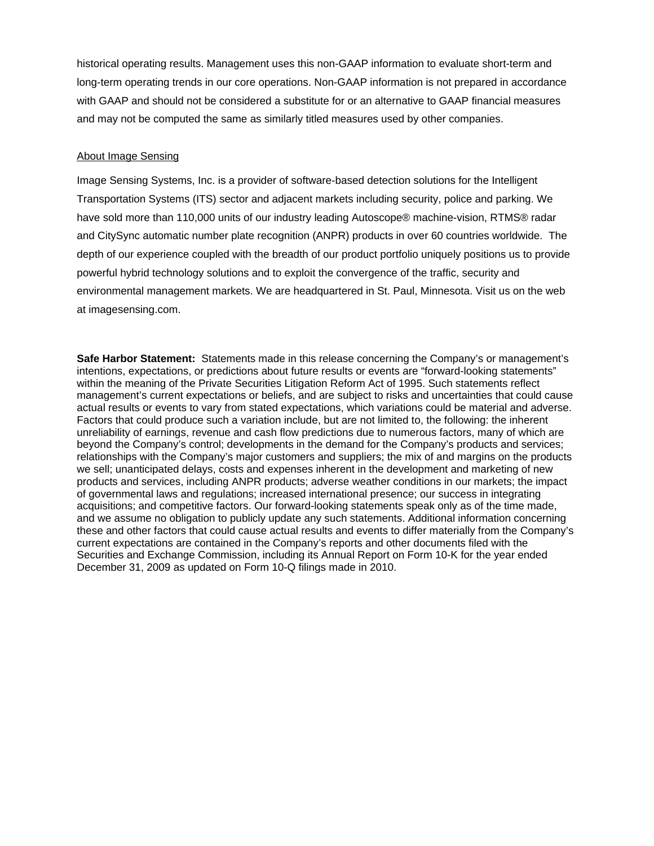historical operating results. Management uses this non-GAAP information to evaluate short-term and long-term operating trends in our core operations. Non-GAAP information is not prepared in accordance with GAAP and should not be considered a substitute for or an alternative to GAAP financial measures and may not be computed the same as similarly titled measures used by other companies.

#### About Image Sensing

Image Sensing Systems, Inc. is a provider of software-based detection solutions for the Intelligent Transportation Systems (ITS) sector and adjacent markets including security, police and parking. We have sold more than 110,000 units of our industry leading Autoscope® machine-vision, RTMS® radar and CitySync automatic number plate recognition (ANPR) products in over 60 countries worldwide. The depth of our experience coupled with the breadth of our product portfolio uniquely positions us to provide powerful hybrid technology solutions and to exploit the convergence of the traffic, security and environmental management markets. We are headquartered in St. Paul, Minnesota. Visit us on the web at imagesensing.com.

**Safe Harbor Statement:** Statements made in this release concerning the Company's or management's intentions, expectations, or predictions about future results or events are "forward-looking statements" within the meaning of the Private Securities Litigation Reform Act of 1995. Such statements reflect management's current expectations or beliefs, and are subject to risks and uncertainties that could cause actual results or events to vary from stated expectations, which variations could be material and adverse. Factors that could produce such a variation include, but are not limited to, the following: the inherent unreliability of earnings, revenue and cash flow predictions due to numerous factors, many of which are beyond the Company's control; developments in the demand for the Company's products and services; relationships with the Company's major customers and suppliers; the mix of and margins on the products we sell; unanticipated delays, costs and expenses inherent in the development and marketing of new products and services, including ANPR products; adverse weather conditions in our markets; the impact of governmental laws and regulations; increased international presence; our success in integrating acquisitions; and competitive factors. Our forward-looking statements speak only as of the time made, and we assume no obligation to publicly update any such statements. Additional information concerning these and other factors that could cause actual results and events to differ materially from the Company's current expectations are contained in the Company's reports and other documents filed with the Securities and Exchange Commission, including its Annual Report on Form 10-K for the year ended December 31, 2009 as updated on Form 10-Q filings made in 2010.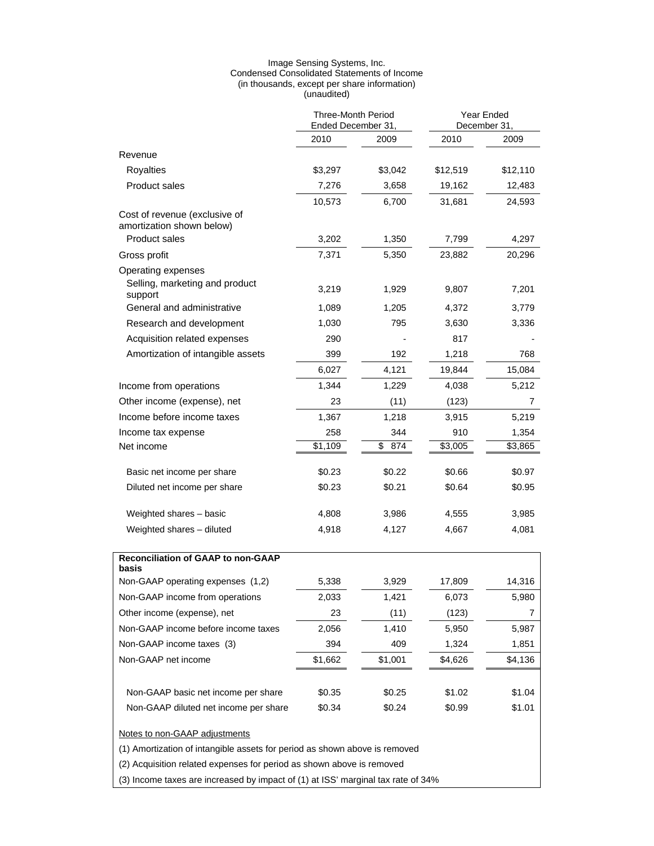#### Image Sensing Systems, Inc. Condensed Consolidated Statements of Income (in thousands, except per share information) (unaudited)

|                                                                                                             | <b>Three-Month Period</b><br>Ended December 31, |           | Year Ended<br>December 31, |          |
|-------------------------------------------------------------------------------------------------------------|-------------------------------------------------|-----------|----------------------------|----------|
|                                                                                                             | 2010                                            | 2009      | 2010                       | 2009     |
| Revenue                                                                                                     |                                                 |           |                            |          |
| Royalties                                                                                                   | \$3,297                                         | \$3,042   | \$12,519                   | \$12,110 |
| <b>Product sales</b>                                                                                        | 7,276                                           | 3,658     | 19,162                     | 12,483   |
|                                                                                                             | 10,573                                          | 6,700     | 31,681                     | 24,593   |
| Cost of revenue (exclusive of<br>amortization shown below)                                                  |                                                 |           |                            |          |
| <b>Product sales</b>                                                                                        | 3,202                                           | 1,350     | 7,799                      | 4,297    |
| Gross profit                                                                                                | 7,371                                           | 5,350     | 23,882                     | 20,296   |
| Operating expenses                                                                                          |                                                 |           |                            |          |
| Selling, marketing and product<br>support                                                                   | 3,219                                           | 1,929     | 9,807                      | 7,201    |
| General and administrative                                                                                  | 1,089                                           | 1,205     | 4,372                      | 3,779    |
| Research and development                                                                                    | 1,030                                           | 795       | 3,630                      | 3,336    |
| Acquisition related expenses                                                                                | 290                                             |           | 817                        |          |
| Amortization of intangible assets                                                                           | 399                                             | 192       | 1,218                      | 768      |
|                                                                                                             | 6,027                                           | 4,121     | 19,844                     | 15,084   |
| Income from operations                                                                                      | 1,344                                           | 1,229     | 4,038                      | 5,212    |
| Other income (expense), net                                                                                 | 23                                              | (11)      | (123)                      | 7        |
| Income before income taxes                                                                                  | 1,367                                           | 1,218     | 3,915                      | 5,219    |
| Income tax expense                                                                                          | 258                                             | 344       | 910                        | 1,354    |
| Net income                                                                                                  | \$1,109                                         | \$<br>874 | \$3,005                    | \$3,865  |
| Basic net income per share                                                                                  | \$0.23                                          | \$0.22    | \$0.66                     | \$0.97   |
| Diluted net income per share                                                                                | \$0.23                                          | \$0.21    | \$0.64                     | \$0.95   |
| Weighted shares - basic                                                                                     | 4,808                                           | 3,986     | 4,555                      | 3,985    |
| Weighted shares - diluted                                                                                   | 4,918                                           | 4,127     | 4,667                      | 4,081    |
| Reconciliation of GAAP to non-GAAP                                                                          |                                                 |           |                            |          |
| basis                                                                                                       |                                                 |           |                            |          |
| Non-GAAP operating expenses (1,2)                                                                           | 5,338                                           | 3,929     | 17,809                     | 14,316   |
| Non-GAAP income from operations                                                                             | 2,033                                           | 1,421     | 6,073                      | 5,980    |
| Other income (expense), net                                                                                 | 23                                              | (11)      | (123)                      | 7        |
| Non-GAAP income before income taxes                                                                         | 2,056                                           | 1,410     | 5,950                      | 5,987    |
| Non-GAAP income taxes (3)                                                                                   | 394                                             | 409       | 1,324                      | 1,851    |
| Non-GAAP net income                                                                                         | \$1,662                                         | \$1,001   | \$4,626                    | \$4,136  |
| Non-GAAP basic net income per share                                                                         | \$0.35                                          | \$0.25    | \$1.02                     | \$1.04   |
| Non-GAAP diluted net income per share                                                                       | \$0.34                                          | \$0.24    | \$0.99                     | \$1.01   |
| Notes to non-GAAP adjustments<br>(1) Amortization of intangible assets for period as shown above is removed |                                                 |           |                            |          |
| (2) Acquisition related expenses for period as shown above is removed                                       |                                                 |           |                            |          |
| (3) Income taxes are increased by impact of (1) at ISS' marginal tax rate of 34%                            |                                                 |           |                            |          |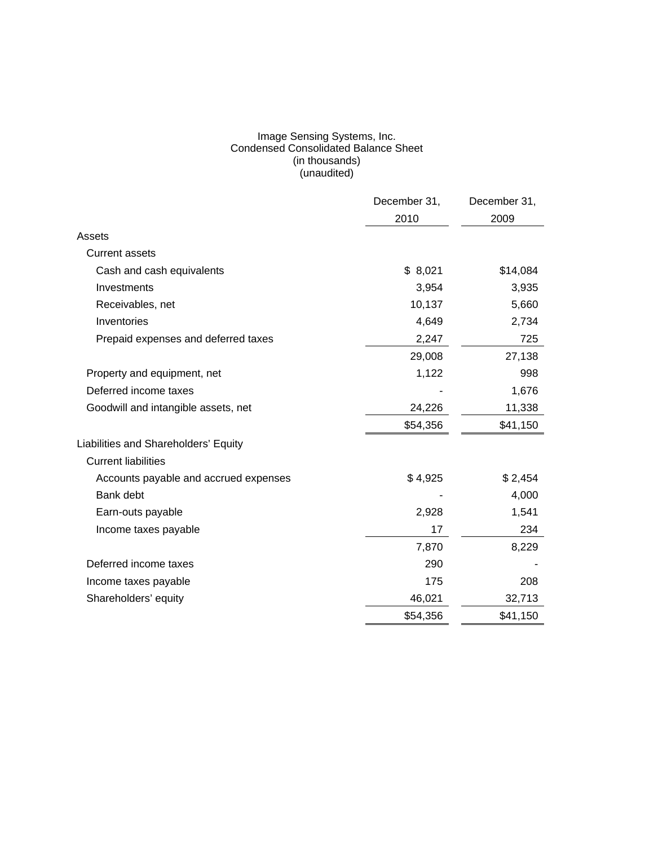#### Image Sensing Systems, Inc. Condensed Consolidated Balance Sheet (in thousands) (unaudited)

|                                       | December 31, | December 31, |
|---------------------------------------|--------------|--------------|
|                                       | 2010         | 2009         |
| Assets                                |              |              |
| <b>Current assets</b>                 |              |              |
| Cash and cash equivalents             | \$8,021      | \$14,084     |
| Investments                           | 3,954        | 3,935        |
| Receivables, net                      | 10,137       | 5,660        |
| Inventories                           | 4,649        | 2,734        |
| Prepaid expenses and deferred taxes   | 2,247        | 725          |
|                                       | 29,008       | 27,138       |
| Property and equipment, net           | 1,122        | 998          |
| Deferred income taxes                 |              | 1,676        |
| Goodwill and intangible assets, net   | 24,226       | 11,338       |
|                                       | \$54,356     | \$41,150     |
| Liabilities and Shareholders' Equity  |              |              |
| <b>Current liabilities</b>            |              |              |
| Accounts payable and accrued expenses | \$4,925      | \$2,454      |
| Bank debt                             |              | 4,000        |
| Earn-outs payable                     | 2,928        | 1,541        |
| Income taxes payable                  | 17           | 234          |
|                                       | 7,870        | 8,229        |
| Deferred income taxes                 | 290          |              |
| Income taxes payable                  | 175          | 208          |
| Shareholders' equity                  | 46,021       | 32,713       |
|                                       | \$54,356     | \$41,150     |